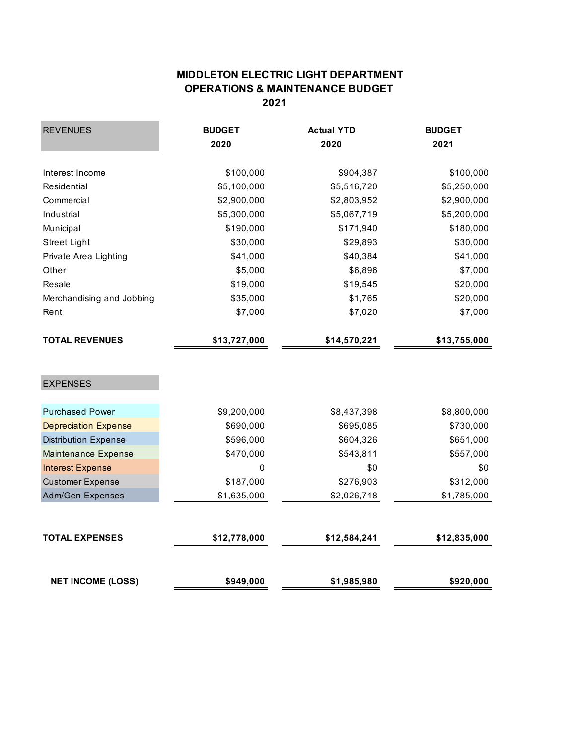## **MIDDLETON ELECTRIC LIGHT DEPARTMENT OPERATIONS & MAINTENANCE BUDGET 2021**

| <b>REVENUES</b>             | <b>BUDGET</b> | <b>Actual YTD</b> | <b>BUDGET</b>                   |  |
|-----------------------------|---------------|-------------------|---------------------------------|--|
|                             | 2020          | 2020              | 2021                            |  |
| Interest Income             | \$100,000     | \$904,387         | \$100,000                       |  |
| Residential                 | \$5,100,000   | \$5,516,720       | \$5,250,000                     |  |
| Commercial                  | \$2,900,000   | \$2,803,952       | \$2,900,000                     |  |
| Industrial                  | \$5,300,000   | \$5,067,719       | \$5,200,000                     |  |
| Municipal                   | \$190,000     | \$171,940         | \$180,000                       |  |
| <b>Street Light</b>         | \$30,000      | \$29,893          | \$30,000                        |  |
| Private Area Lighting       | \$41,000      | \$40,384          | \$41,000                        |  |
| Other                       | \$5,000       | \$6,896           | \$7,000<br>\$20,000<br>\$20,000 |  |
| Resale                      | \$19,000      | \$19,545          |                                 |  |
| Merchandising and Jobbing   | \$35,000      | \$1,765           |                                 |  |
| Rent                        | \$7,000       | \$7,020           | \$7,000                         |  |
| <b>TOTAL REVENUES</b>       | \$13,727,000  | \$14,570,221      | \$13,755,000                    |  |
|                             |               |                   |                                 |  |
| <b>EXPENSES</b>             |               |                   |                                 |  |
| <b>Purchased Power</b>      | \$9,200,000   | \$8,437,398       | \$8,800,000                     |  |
| <b>Depreciation Expense</b> | \$690,000     | \$695,085         | \$730,000                       |  |
| <b>Distribution Expense</b> | \$596,000     | \$604,326         | \$651,000                       |  |
| <b>Maintenance Expense</b>  | \$470,000     | \$543,811         | \$557,000                       |  |
| <b>Interest Expense</b>     | 0             | \$0               | \$0                             |  |
| <b>Customer Expense</b>     | \$187,000     | \$276,903         | \$312,000                       |  |
| Adm/Gen Expenses            | \$1,635,000   | \$2,026,718       | \$1,785,000                     |  |
|                             |               |                   |                                 |  |
| <b>TOTAL EXPENSES</b>       | \$12,778,000  | \$12,584,241      | \$12,835,000                    |  |
|                             |               |                   |                                 |  |
| <b>NET INCOME (LOSS)</b>    | \$949,000     | \$1,985,980       | \$920,000                       |  |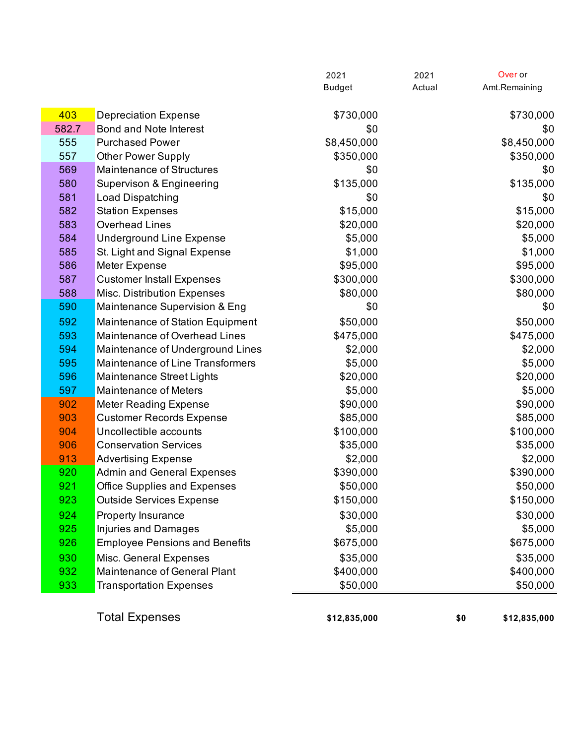|       |                                       | 2021          | 2021   | Over or             |
|-------|---------------------------------------|---------------|--------|---------------------|
|       |                                       | <b>Budget</b> | Actual | Amt.Remaining       |
| 403   | <b>Depreciation Expense</b>           | \$730,000     |        | \$730,000           |
| 582.7 | Bond and Note Interest                | \$0           |        | \$0                 |
| 555   | <b>Purchased Power</b>                | \$8,450,000   |        | \$8,450,000         |
| 557   | <b>Other Power Supply</b>             | \$350,000     |        | \$350,000           |
| 569   | <b>Maintenance of Structures</b>      | \$0           |        | \$0                 |
| 580   | Supervison & Engineering              | \$135,000     |        | \$135,000           |
| 581   | Load Dispatching                      | \$0           |        | \$0                 |
| 582   | <b>Station Expenses</b>               | \$15,000      |        | \$15,000            |
| 583   | <b>Overhead Lines</b>                 | \$20,000      |        | \$20,000            |
| 584   | <b>Underground Line Expense</b>       | \$5,000       |        | \$5,000             |
| 585   | St. Light and Signal Expense          | \$1,000       |        | \$1,000             |
| 586   | Meter Expense                         | \$95,000      |        | \$95,000            |
| 587   | <b>Customer Install Expenses</b>      | \$300,000     |        | \$300,000           |
| 588   | Misc. Distribution Expenses           | \$80,000      |        | \$80,000            |
| 590   | Maintenance Supervision & Eng         | \$0           |        | \$0                 |
| 592   | Maintenance of Station Equipment      | \$50,000      |        | \$50,000            |
| 593   | Maintenance of Overhead Lines         | \$475,000     |        | \$475,000           |
| 594   | Maintenance of Underground Lines      | \$2,000       |        | \$2,000             |
| 595   | Maintenance of Line Transformers      | \$5,000       |        | \$5,000             |
| 596   | Maintenance Street Lights             | \$20,000      |        | \$20,000            |
| 597   | <b>Maintenance of Meters</b>          | \$5,000       |        | \$5,000             |
| 902   | <b>Meter Reading Expense</b>          | \$90,000      |        | \$90,000            |
| 903   | <b>Customer Records Expense</b>       | \$85,000      |        | \$85,000            |
| 904   | Uncollectible accounts                | \$100,000     |        | \$100,000           |
| 906   | <b>Conservation Services</b>          | \$35,000      |        | \$35,000            |
| 913   | <b>Advertising Expense</b>            | \$2,000       |        | \$2,000             |
| 920   | <b>Admin and General Expenses</b>     | \$390,000     |        | \$390,000           |
| 921   | <b>Office Supplies and Expenses</b>   | \$50,000      |        | \$50,000            |
| 923   | <b>Outside Services Expense</b>       | \$150,000     |        | \$150,000           |
| 924   | Property Insurance                    | \$30,000      |        | \$30,000            |
| 925   | <b>Injuries and Damages</b>           | \$5,000       |        | \$5,000             |
| 926   | <b>Employee Pensions and Benefits</b> | \$675,000     |        | \$675,000           |
| 930   | Misc. General Expenses                | \$35,000      |        | \$35,000            |
| 932   | Maintenance of General Plant          | \$400,000     |        | \$400,000           |
| 933   | <b>Transportation Expenses</b>        | \$50,000      |        | \$50,000            |
|       |                                       |               |        |                     |
|       | <b>Total Expenses</b>                 | \$12,835,000  |        | \$0<br>\$12,835,000 |